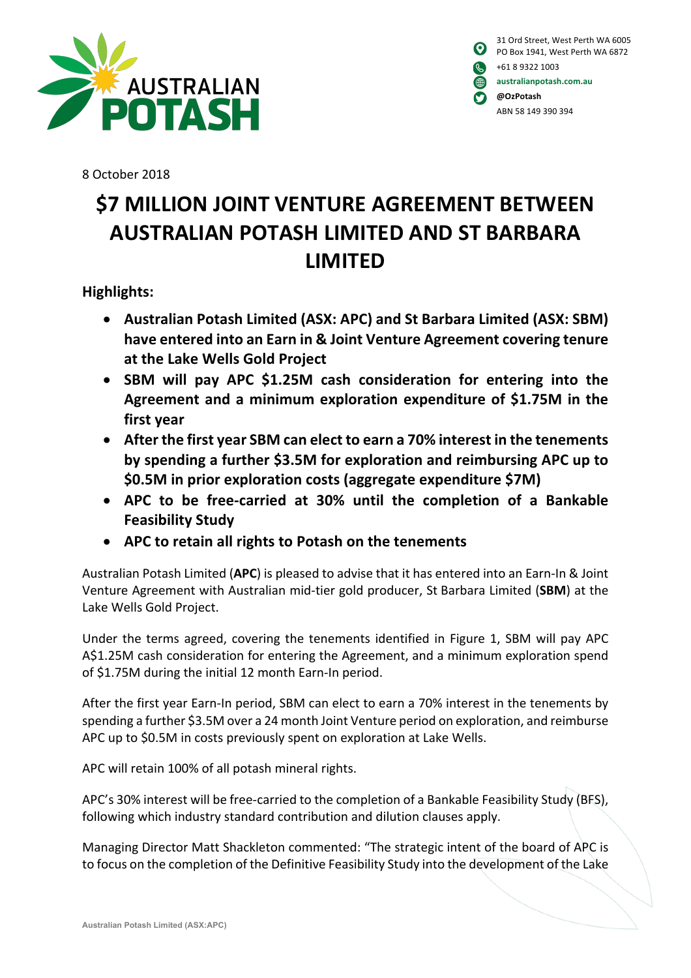

| $\boldsymbol{\Theta}$ | 31 Ord Street, West Perth WA 6005<br>PO Box 1941, West Perth WA 6872 |
|-----------------------|----------------------------------------------------------------------|
| <b>K</b>              | +61 8 9322 1003                                                      |
| (曲                    | australianpotash.com.au                                              |
| O                     | @OzPotash                                                            |
|                       | ABN 58 149 390 394                                                   |

8 October 2018

## **\$7 MILLION JOINT VENTURE AGREEMENT BETWEEN AUSTRALIAN POTASH LIMITED AND ST BARBARA LIMITED**

**Highlights:**

- **Australian Potash Limited (ASX: APC) and St Barbara Limited (ASX: SBM) have entered into an Earn in & Joint Venture Agreement covering tenure at the Lake Wells Gold Project**
- **SBM will pay APC \$1.25M cash consideration for entering into the Agreement and a minimum exploration expenditure of \$1.75M in the first year**
- **After the first year SBM can elect to earn a 70% interest in the tenements by spending a further \$3.5M for exploration and reimbursing APC up to \$0.5M in prior exploration costs (aggregate expenditure \$7M)**
- **APC to be free-carried at 30% until the completion of a Bankable Feasibility Study**
- **APC to retain all rights to Potash on the tenements**

Australian Potash Limited (**APC**) is pleased to advise that it has entered into an Earn-In & Joint Venture Agreement with Australian mid-tier gold producer, St Barbara Limited (**SBM**) at the Lake Wells Gold Project.

Under the terms agreed, covering the tenements identified in Figure 1, SBM will pay APC A\$1.25M cash consideration for entering the Agreement, and a minimum exploration spend of \$1.75M during the initial 12 month Earn-In period.

After the first year Earn-In period, SBM can elect to earn a 70% interest in the tenements by spending a further \$3.5M over a 24 month Joint Venture period on exploration, and reimburse APC up to \$0.5M in costs previously spent on exploration at Lake Wells.

APC will retain 100% of all potash mineral rights.

APC's 30% interest will be free-carried to the completion of a Bankable Feasibility Study (BFS), following which industry standard contribution and dilution clauses apply.

Managing Director Matt Shackleton commented: "The strategic intent of the board of APC is to focus on the completion of the Definitive Feasibility Study into the development of the Lake